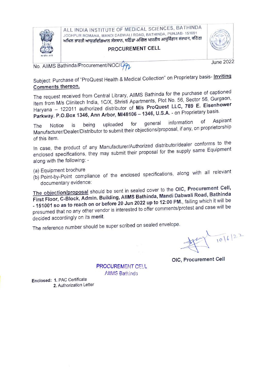

ALL INDIA INSTITUTE OF MEDICAL SCIENCES, BATHINDA JODHPUR ROMANA, MANDI DABWALI ROAD, BATHINDA, PUNJAB- 151001<br>**ਅਖਿਲ ਭਾਰਤੀ ਆਯੁਰਵਿਗਿਆਨ ਸੰਸਥਾਨ, ਬਠਿੰਡਾ अखिल भारतीय आयुर्विज्ञान संस्थान, बठिंडा** 

## PROCUREMENT CELL

June 2022

No. AlIMS Bathinda/Procurement/NOC/492

Subject: Purchase of "ProQuest Health & Medical Collection" on Proprietary basis- Inviting Comments thereon.

The request received from Central Library, AllMS Bathinda for the purchase of captioned Item from M/s Clinitech India, 1C/X, Shristi Apartments, Plot No. 56, Sector 56, Gurgaon, Haryana - 122011 authorized distributor of M/s ProQuest LLC, 789 E. Eisenhower Haryana – 122011 admonzed dismbator of the Care of Angles Proprietary basis.<br>Parkway. P.O.Box 1346, Ann Arbor, MI48106 – 1346, U.S.A. - on Proprietary basis.

The Notice is being uploaded for general information of Aspirant<br>Change is being uploaded for the three prepagal if any on-proprietorship The worse is bong epicacity.<br>Manufacturer/Dealer/Distributor to submit their objections/proposal, if any, on proprietorship of this item.

In case, the product of any Manufacturer/Authorized distributor/dealer conforms to the enclosed specifications, they may submit their proposal for the supply same Equipment along with the following:

(a) Equipment brochure

(6) Point-by-Point compliance of the enclosed specifications, along with all relevant documentary evidence:

The objection/proposal should be sent in sealed cover to the OIC, Procurement Cell, First Floor, C-Block, Admin. Building, AllMS Bathinda, Mandi Dabwali Road, Bathinda -151001 so as to reach on or before 20 Jun 2022 up to 12:00 PM., failing which it will be presumed that no any other vendor is interested to offer comments/protest and case will be decided accordingly on its merit.

The reference number should be super scribed on sealed envelope.

 $\frac{10}{106}$  |22

OIC, Procurement Cell

PROCUREMENT CELL AIIMS Bathinds

Enclosed: 1. PAC Certificate 2. Authorization Letter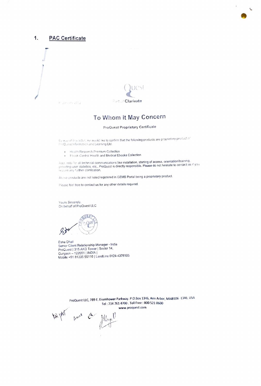

#### 1. **PAC Certificate**

4" January 2012



# To Whom It May Concern

### ProQuest Proprietary Certificate

By way of this lettor, we would like to confirm that the following products are proprietary product of ProQuest Information and Learning Ltd.

- · Health Research Premium Collection
- . Ebook Central Health and Medical Ebooks Collection

Also, note for all technical communications like installation, starting of access, orientation/training,<br>providing user statistics, etc., ProQuest is directly responsible. Please do not hesitate to contact us if you require any further clarification.

Above products are not listed/registered in GEMS Portal being a proprietary product.

Please feel free to contact us for any other details required.

Yours Sincerely. On behalf of ProQuest LLC



Esha Dhall Senior Client Relationship Manager - India ProQuest | 315 AKD Tower | Sector 14,<br>Gurgaon – 122001 | INDIA | Mobile +91 81305 55110 | LandLine 0124-4376105

> ProQuest LLC, 789 E. Eisenhower Parkway. P.O.Box 1346, Ann Arbor, MI48106 -1346, USA Tel: 734 761 4700 . Toll Free: 800 521 0600 www.proquest.com

tright and a flyel